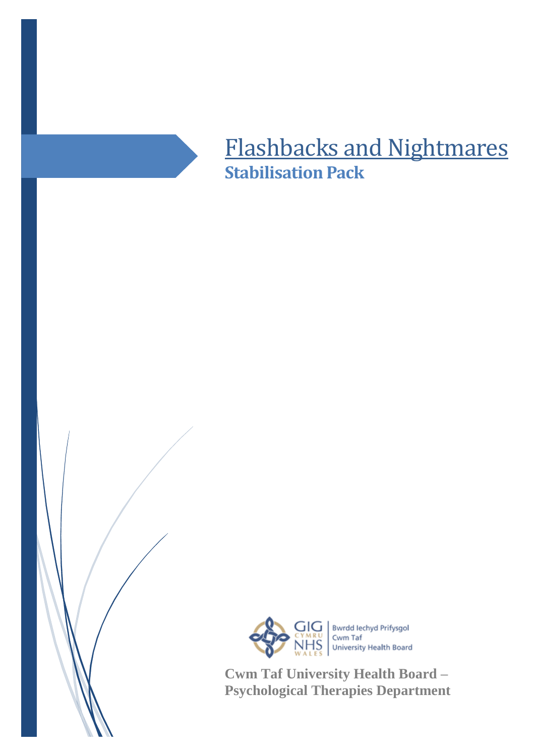

## Flashbacks and Nightmares **Stabilisation Pack**



**Cwm Taf University Health Board – Psychological Therapies Department**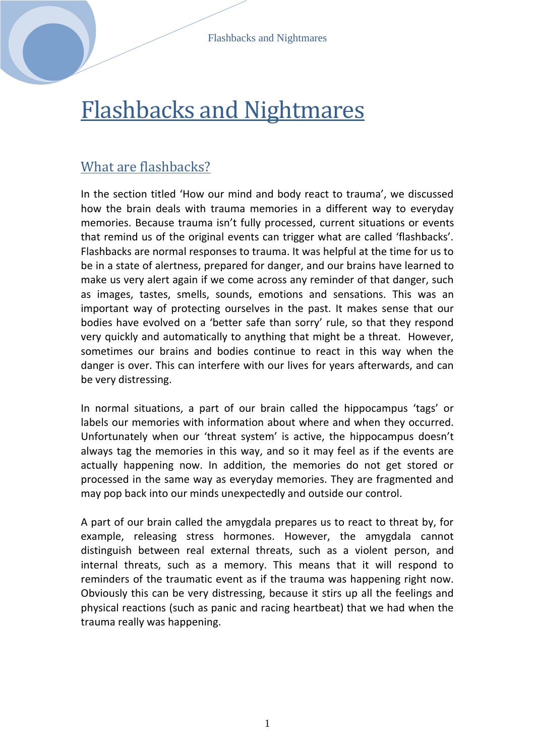# Flashbacks and Nightmares

## What are flashbacks?

In the section titled 'How our mind and body react to trauma', we discussed how the brain deals with trauma memories in a different way to everyday memories. Because trauma isn't fully processed, current situations or events that remind us of the original events can trigger what are called 'flashbacks'. Flashbacks are normal responses to trauma. It was helpful at the time for us to be in a state of alertness, prepared for danger, and our brains have learned to make us very alert again if we come across any reminder of that danger, such as images, tastes, smells, sounds, emotions and sensations. This was an important way of protecting ourselves in the past. It makes sense that our bodies have evolved on a 'better safe than sorry' rule, so that they respond very quickly and automatically to anything that might be a threat. However, sometimes our brains and bodies continue to react in this way when the danger is over. This can interfere with our lives for years afterwards, and can be very distressing.

In normal situations, a part of our brain called the hippocampus 'tags' or labels our memories with information about where and when they occurred. Unfortunately when our 'threat system' is active, the hippocampus doesn't always tag the memories in this way, and so it may feel as if the events are actually happening now. In addition, the memories do not get stored or processed in the same way as everyday memories. They are fragmented and may pop back into our minds unexpectedly and outside our control.

A part of our brain called the amygdala prepares us to react to threat by, for example, releasing stress hormones. However, the amygdala cannot distinguish between real external threats, such as a violent person, and internal threats, such as a memory. This means that it will respond to reminders of the traumatic event as if the trauma was happening right now. Obviously this can be very distressing, because it stirs up all the feelings and physical reactions (such as panic and racing heartbeat) that we had when the trauma really was happening.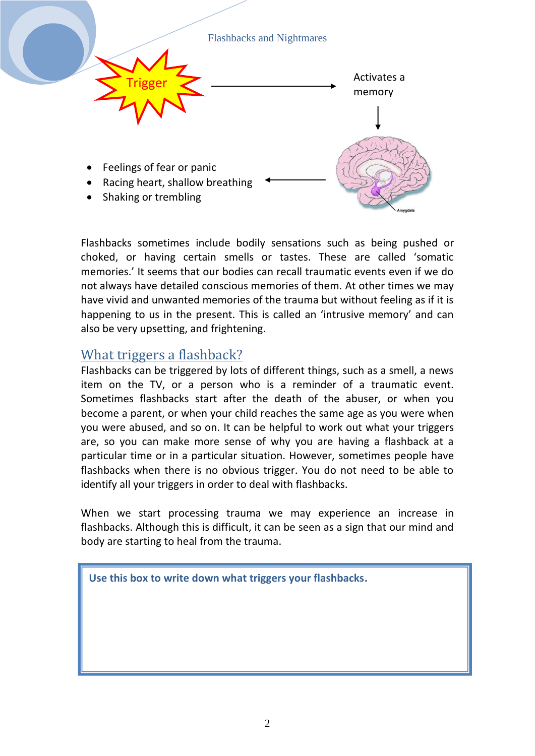

Flashbacks sometimes include bodily sensations such as being pushed or choked, or having certain smells or tastes. These are called 'somatic memories.' It seems that our bodies can recall traumatic events even if we do not always have detailed conscious memories of them. At other times we may have vivid and unwanted memories of the trauma but without feeling as if it is happening to us in the present. This is called an 'intrusive memory' and can also be very upsetting, and frightening.

#### What triggers a flashback?

Flashbacks can be triggered by lots of different things, such as a smell, a news item on the TV, or a person who is a reminder of a traumatic event. Sometimes flashbacks start after the death of the abuser, or when you become a parent, or when your child reaches the same age as you were when you were abused, and so on. It can be helpful to work out what your triggers are, so you can make more sense of why you are having a flashback at a particular time or in a particular situation. However, sometimes people have flashbacks when there is no obvious trigger. You do not need to be able to identify all your triggers in order to deal with flashbacks.

When we start processing trauma we may experience an increase in flashbacks. Although this is difficult, it can be seen as a sign that our mind and body are starting to heal from the trauma.

**Use this box to write down what triggers your flashbacks.**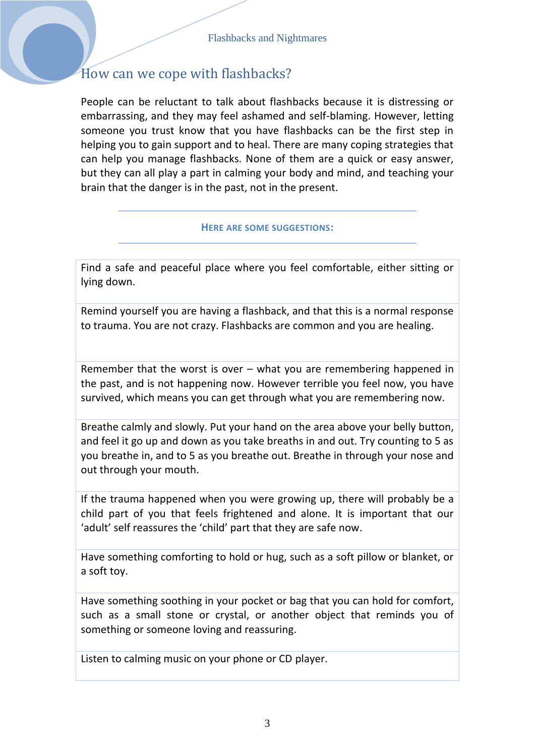## How can we cope with flashbacks?

People can be reluctant to talk about flashbacks because it is distressing or embarrassing, and they may feel ashamed and self-blaming. However, letting someone you trust know that you have flashbacks can be the first step in helping you to gain support and to heal. There are many coping strategies that can help you manage flashbacks. None of them are a quick or easy answer, but they can all play a part in calming your body and mind, and teaching your brain that the danger is in the past, not in the present.

#### **HERE ARE SOME SUGGESTIONS:**

Find a safe and peaceful place where you feel comfortable, either sitting or lying down.

Remind yourself you are having a flashback, and that this is a normal response to trauma. You are not crazy. Flashbacks are common and you are healing.

Remember that the worst is over – what you are remembering happened in the past, and is not happening now. However terrible you feel now, you have survived, which means you can get through what you are remembering now.

Breathe calmly and slowly. Put your hand on the area above your belly button, and feel it go up and down as you take breaths in and out. Try counting to 5 as you breathe in, and to 5 as you breathe out. Breathe in through your nose and out through your mouth.

If the trauma happened when you were growing up, there will probably be a child part of you that feels frightened and alone. It is important that our 'adult' self reassures the 'child' part that they are safe now.

Have something comforting to hold or hug, such as a soft pillow or blanket, or a soft toy.

Have something soothing in your pocket or bag that you can hold for comfort, such as a small stone or crystal, or another object that reminds you of something or someone loving and reassuring.

Listen to calming music on your phone or CD player.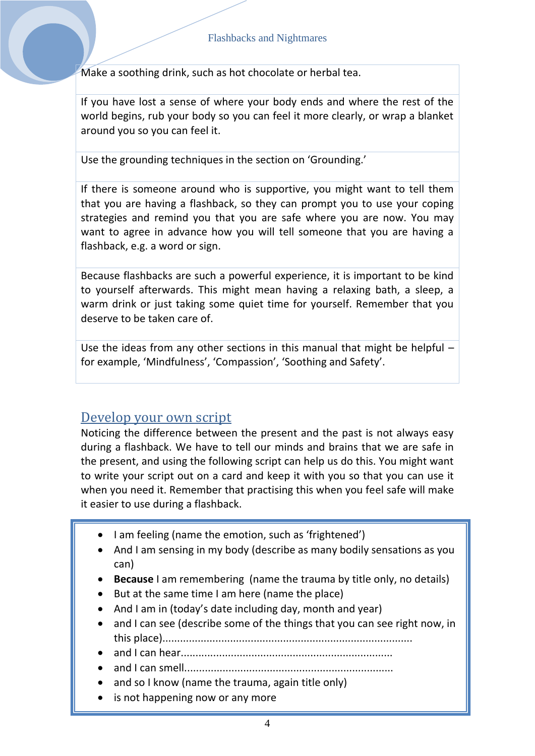Make a soothing drink, such as hot chocolate or herbal tea.

If you have lost a sense of where your body ends and where the rest of the world begins, rub your body so you can feel it more clearly, or wrap a blanket around you so you can feel it.

Use the grounding techniques in the section on 'Grounding.'

If there is someone around who is supportive, you might want to tell them that you are having a flashback, so they can prompt you to use your coping strategies and remind you that you are safe where you are now. You may want to agree in advance how you will tell someone that you are having a flashback, e.g. a word or sign.

Because flashbacks are such a powerful experience, it is important to be kind to yourself afterwards. This might mean having a relaxing bath, a sleep, a warm drink or just taking some quiet time for yourself. Remember that you deserve to be taken care of.

Use the ideas from any other sections in this manual that might be helpful – for example, 'Mindfulness', 'Compassion', 'Soothing and Safety'.

## Develop your own script

Noticing the difference between the present and the past is not always easy during a flashback. We have to tell our minds and brains that we are safe in the present, and using the following script can help us do this. You might want to write your script out on a card and keep it with you so that you can use it when you need it. Remember that practising this when you feel safe will make it easier to use during a flashback.

- I am feeling (name the emotion, such as 'frightened')
- And I am sensing in my body (describe as many bodily sensations as you can)
- **Because** I am remembering (name the trauma by title only, no details)
- But at the same time I am here (name the place)
- And I am in (today's date including day, month and year)
- and I can see (describe some of the things that you can see right now, in this place).....................................................................................
- and I can hear........................................................................
- and I can smell.......................................................................
- and so I know (name the trauma, again title only)
- is not happening now or any more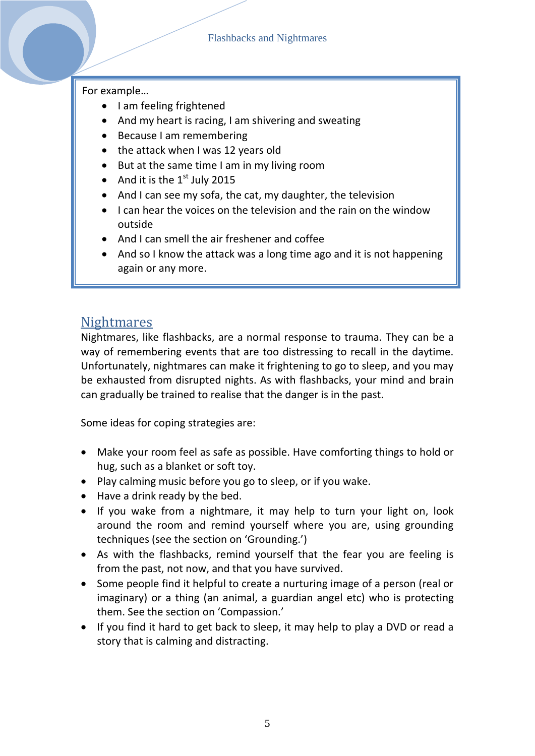#### For example…

- I am feeling frightened
- And my heart is racing, I am shivering and sweating
- Because I am remembering
- the attack when I was 12 years old
- But at the same time I am in my living room
- And it is the  $1<sup>st</sup>$  July 2015
- And I can see my sofa, the cat, my daughter, the television
- I can hear the voices on the television and the rain on the window outside
- And I can smell the air freshener and coffee
- And so I know the attack was a long time ago and it is not happening again or any more.

## **Nightmares**

Nightmares, like flashbacks, are a normal response to trauma. They can be a way of remembering events that are too distressing to recall in the daytime. Unfortunately, nightmares can make it frightening to go to sleep, and you may be exhausted from disrupted nights. As with flashbacks, your mind and brain can gradually be trained to realise that the danger is in the past.

Some ideas for coping strategies are:

- Make your room feel as safe as possible. Have comforting things to hold or hug, such as a blanket or soft toy.
- Play calming music before you go to sleep, or if you wake.
- Have a drink ready by the bed.
- If you wake from a nightmare, it may help to turn your light on, look around the room and remind yourself where you are, using grounding techniques (see the section on 'Grounding.')
- As with the flashbacks, remind yourself that the fear you are feeling is from the past, not now, and that you have survived.
- Some people find it helpful to create a nurturing image of a person (real or imaginary) or a thing (an animal, a guardian angel etc) who is protecting them. See the section on 'Compassion.'
- If you find it hard to get back to sleep, it may help to play a DVD or read a story that is calming and distracting.